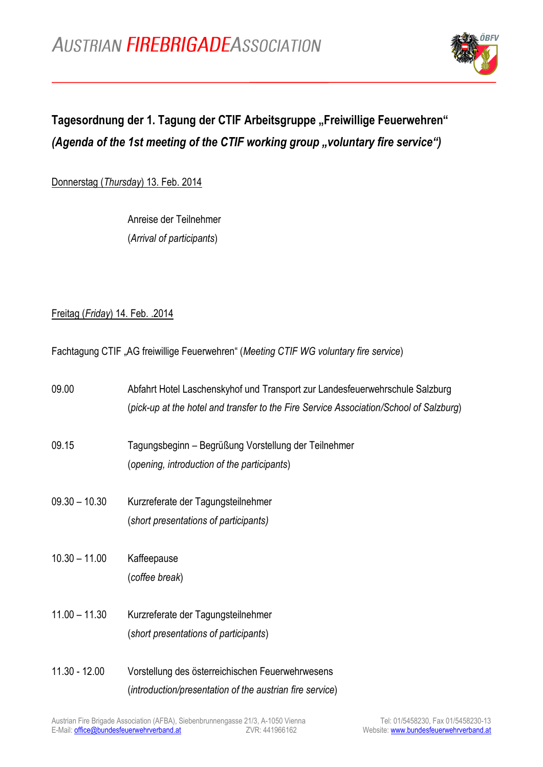

## Tagesordnung der 1. Tagung der CTIF Arbeitsgruppe "Freiwillige Feuerwehren" *(Agenda of the 1st meeting of the CTIF working group "voluntary fire service")*

Donnerstag (*Thursday*) 13. Feb. 2014

Anreise der Teilnehmer (*Arrival of participants*)

## Freitag (*Friday*) 14. Feb. .2014

Fachtagung CTIF "AG freiwillige Feuerwehren" (*Meeting CTIF WG voluntary fire service*)

| 09.00           | Abfahrt Hotel Laschenskyhof und Transport zur Landesfeuerwehrschule Salzburg<br>(pick-up at the hotel and transfer to the Fire Service Association/School of Salzburg) |
|-----------------|------------------------------------------------------------------------------------------------------------------------------------------------------------------------|
| 09.15           | Tagungsbeginn – Begrüßung Vorstellung der Teilnehmer<br>(opening, introduction of the participants)                                                                    |
| $09.30 - 10.30$ | Kurzreferate der Tagungsteilnehmer<br>(short presentations of participants)                                                                                            |
| $10.30 - 11.00$ | Kaffeepause<br>(coffee break)                                                                                                                                          |
| $11.00 - 11.30$ | Kurzreferate der Tagungsteilnehmer<br>(short presentations of participants)                                                                                            |
| $11.30 - 12.00$ | Vorstellung des österreichischen Feuerwehrwesens<br>(introduction/presentation of the austrian fire service)                                                           |